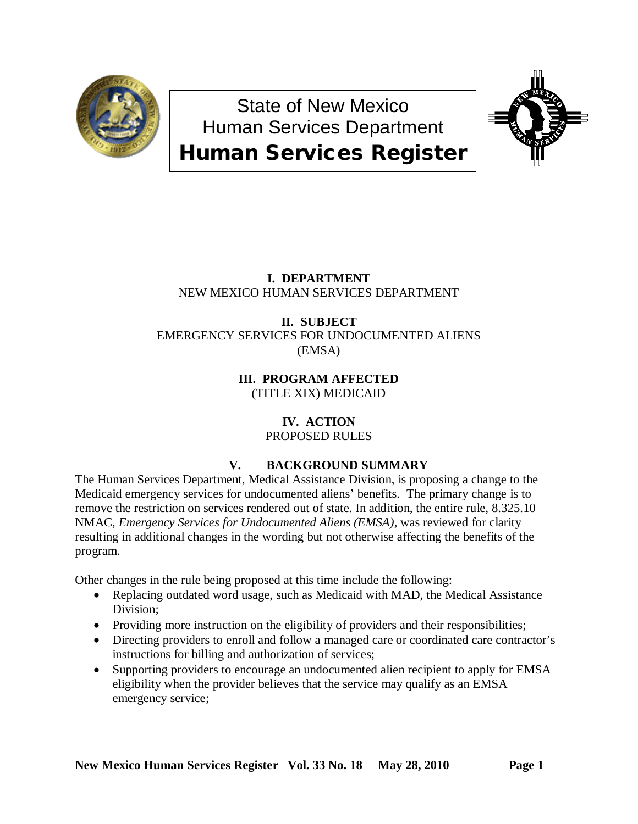

State of New Mexico Human Services Department Human Services Register



# **I. DEPARTMENT** NEW MEXICO HUMAN SERVICES DEPARTMENT

## **II. SUBJECT** EMERGENCY SERVICES FOR UNDOCUMENTED ALIENS (EMSA)

**III. PROGRAM AFFECTED** (TITLE XIX) MEDICAID

# **IV. ACTION**

PROPOSED RULES

# **V. BACKGROUND SUMMARY**

The Human Services Department, Medical Assistance Division, is proposing a change to the Medicaid emergency services for undocumented aliens' benefits. The primary change is to remove the restriction on services rendered out of state. In addition, the entire rule, 8.325.10 NMAC, *Emergency Services for Undocumented Aliens (EMSA)*, was reviewed for clarity resulting in additional changes in the wording but not otherwise affecting the benefits of the program.

Other changes in the rule being proposed at this time include the following:

- Replacing outdated word usage, such as Medicaid with MAD, the Medical Assistance Division;
- Providing more instruction on the eligibility of providers and their responsibilities;
- Directing providers to enroll and follow a managed care or coordinated care contractor's instructions for billing and authorization of services;
- Supporting providers to encourage an undocumented alien recipient to apply for EMSA eligibility when the provider believes that the service may qualify as an EMSA emergency service;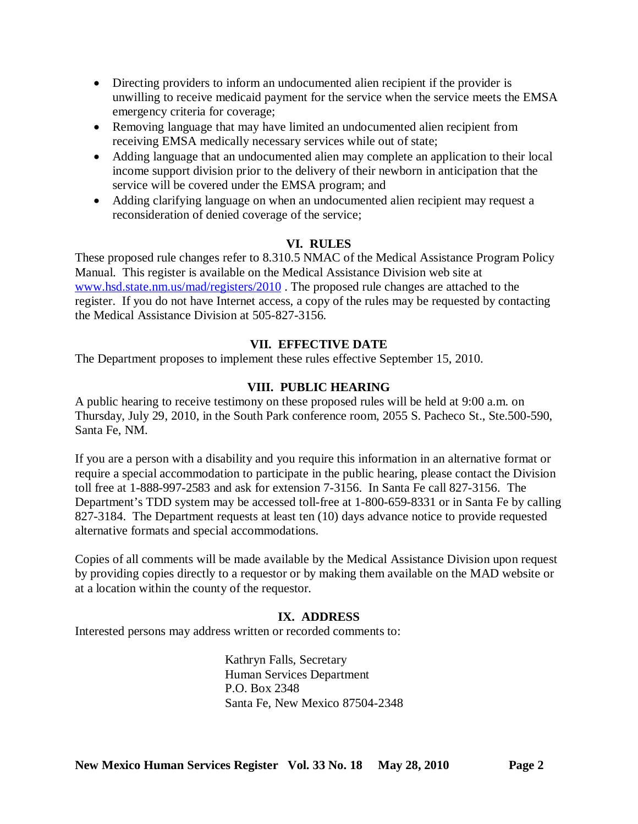- Directing providers to inform an undocumented alien recipient if the provider is unwilling to receive medicaid payment for the service when the service meets the EMSA emergency criteria for coverage;
- Removing language that may have limited an undocumented alien recipient from receiving EMSA medically necessary services while out of state;
- Adding language that an undocumented alien may complete an application to their local income support division prior to the delivery of their newborn in anticipation that the service will be covered under the EMSA program; and
- Adding clarifying language on when an undocumented alien recipient may request a reconsideration of denied coverage of the service;

## **VI. RULES**

These proposed rule changes refer to 8.310.5 NMAC of the Medical Assistance Program Policy Manual. This register is available on the Medical Assistance Division web site at [www.hsd.state.nm.us/mad/registers/2010](http://www.hsd.state.nm.us/mad/registers/2010) . The proposed rule changes are attached to the register. If you do not have Internet access, a copy of the rules may be requested by contacting the Medical Assistance Division at 505-827-3156.

# **VII. EFFECTIVE DATE**

The Department proposes to implement these rules effective September 15, 2010.

## **VIII. PUBLIC HEARING**

A public hearing to receive testimony on these proposed rules will be held at 9:00 a.m. on Thursday, July 29, 2010, in the South Park conference room, 2055 S. Pacheco St., Ste.500-590, Santa Fe, NM.

If you are a person with a disability and you require this information in an alternative format or require a special accommodation to participate in the public hearing, please contact the Division toll free at 1-888-997-2583 and ask for extension 7-3156. In Santa Fe call 827-3156. The Department's TDD system may be accessed toll-free at 1-800-659-8331 or in Santa Fe by calling 827-3184. The Department requests at least ten (10) days advance notice to provide requested alternative formats and special accommodations.

Copies of all comments will be made available by the Medical Assistance Division upon request by providing copies directly to a requestor or by making them available on the MAD website or at a location within the county of the requestor.

## **IX. ADDRESS**

Interested persons may address written or recorded comments to:

Kathryn Falls, Secretary Human Services Department P.O. Box 2348 Santa Fe, New Mexico 87504-2348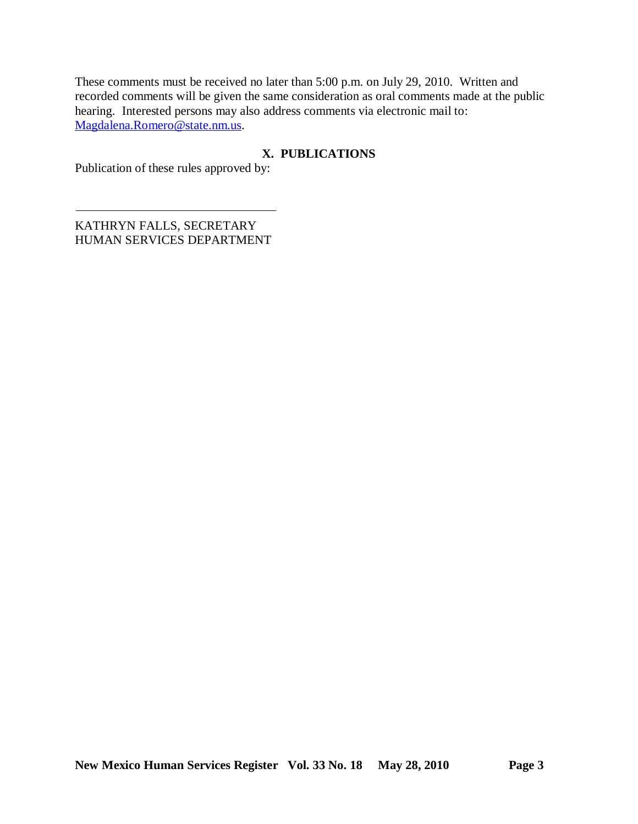These comments must be received no later than 5:00 p.m. on July 29, 2010. Written and recorded comments will be given the same consideration as oral comments made at the public hearing. Interested persons may also address comments via electronic mail to: [Magdalena.Romero@state.nm.us.](mailto:Magdalena.Romero@state.nm.us)

# **X. PUBLICATIONS**

Publication of these rules approved by:

KATHRYN FALLS, SECRETARY HUMAN SERVICES DEPARTMENT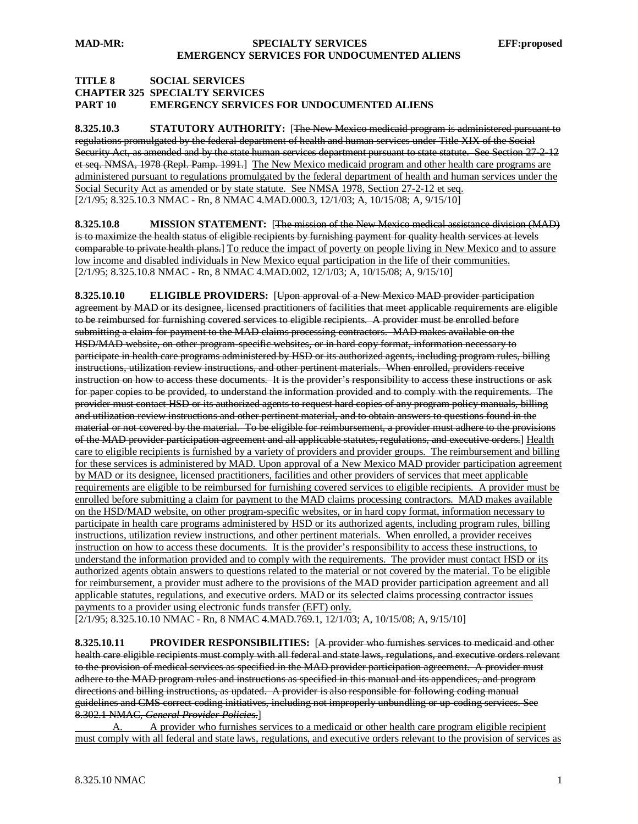### **MAD-MR: SPECIALTY SERVICES EFF:proposed EMERGENCY SERVICES FOR UNDOCUMENTED ALIENS**

### **TITLE 8 SOCIAL SERVICES CHAPTER 325 SPECIALTY SERVICES PART 10 EMERGENCY SERVICES FOR UNDOCUMENTED ALIENS**

**8.325.10.3 STATUTORY AUTHORITY:** [The New Mexico medicaid program is administered pursuant to regulations promulgated by the federal department of health and human services under Title XIX of the Social Security Act, as amended and by the state human services department pursuant to state statute. See Section 27-2-12et seq. NMSA, 1978 (Repl. Pamp. 1991.] The New Mexico medicaid program and other health care programs are [2/1/95; 8.325.10.3 NMAC - Rn, 8 NMAC 4.MAD.000.3, 12/1/03; A, 10/15/08; A, 9/15/10] administered pursuant to regulations promulgated by the federal department of health and human services under the Social Security Act as amended or by state statute. See NMSA 1978, Section 27-2-12 et seq.

**8.325.10.8 MISSION STATEMENT:** [The mission of the New Mexico medical assistance division (MAD) is to maximize the health status of eligible recipients by furnishing payment for quality health services at levels comparable to private health plans.] To reduce the impact of poverty on people living in New Mexico and to assure [2/1/95; 8.325.10.8 NMAC - Rn, 8 NMAC 4.MAD.002, 12/1/03; A, 10/15/08; A, 9/15/10] low income and disabled individuals in New Mexico equal participation in the life of their communities.

**8.325.10.10 ELIGIBLE PROVIDERS:** [Upon approval of a New Mexico MAD provider participation agreement by MAD or its designee, licensed practitioners of facilities that meet applicable requirements are eligible to be reimbursed for furnishing covered services to eligible recipients. A provider must be enrolled before submitting a claim for payment to the MAD claims processing contractors. MAD makes available on the HSD/MAD website, on other program-specific websites, or in hard copy format, information necessary to participate in health care programs administered by HSD or its authorized agents, including program rules, billing instructions, utilization review instructions, and other pertinent materials. When enrolled, providers receive instruction on how to access these documents. It is the provider's responsibility to access these instructions or ask for paper copies to be provided, to understand the information provided and to comply with the requirements. The provider must contact HSD or its authorized agents to request hard copies of any program policy manuals, billing and utilization review instructions and other pertinent material, and to obtain answers to questions found in the material or not covered by the material. To be eligible for reimbursement, a provider must adhere to the provisions of the MAD provider participation agreement and all applicable statutes, regulations, and executive orders.] <u>Health</u> care to eligible recipients is furnished by a variety of providers and provider groups. The reimbursement and billing for these services is administered by MAD. Upon approval of a New Mexico MAD provider participation agreement by MAD or its designee, licensed practitioners, facilities and other providers of services that meet applicable requirements are eligible to be reimbursed for furnishing covered services to eligible recipients. A provider must be enrolled before submitting a claim for payment to the MAD claims processing contractors. MAD makes available on the HSD/MAD website, on other program-specific websites, or in hard copy format, information necessary to participate in health care programs administered by HSD or its authorized agents, including program rules, billing instructions, utilization review instructions, and other pertinent materials. When enrolled, a provider receives instruction on how to access these documents. It is the provider's responsibility to access these instructions, to understand the information provided and to comply with the requirements. The provider must contact HSD or its authorized agents obtain answers to questions related to the material or not covered by the material. To be eligible for reimbursement, a provider must adhere to the provisions of the MAD provider participation agreement and all applicable statutes, regulations, and executive orders. MAD or its selected claims processing contractor issues payments to a provider using electronic funds transfer (EFT) only.

[2/1/95; 8.325.10.10 NMAC - Rn, 8 NMAC 4.MAD.769.1, 12/1/03; A, 10/15/08; A, 9/15/10]

**8.325.10.11 PROVIDER RESPONSIBILITIES:** [A provider who furnishes services to medicaid and other health care eligible recipients must comply with all federal and state laws, regulations, and executive orders relevant to the provision of medical services as specified in the MAD provider participation agreement. A provider must adhere to the MAD program rules and instructions as specified in this manual and its appendices, and program directions and billing instructions, as updated. A provider is also responsible for following coding manual guidelines and CMS correct coding initiatives, including not improperly unbundling or up-coding services. See 8.302.1 NMAC, *General Provider Policies*.]

A. A provider who furnishes services to a medicaid or other health care program eligible recipient must comply with all federal and state laws, regulations, and executive orders relevant to the provision of services as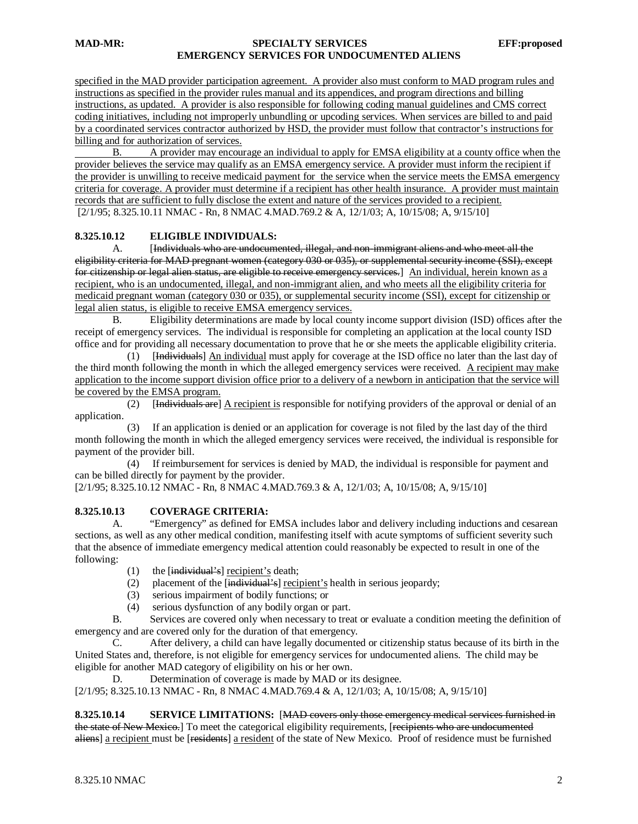### **MAD-MR: SPECIALTY SERVICES EFF:proposed EMERGENCY SERVICES FOR UNDOCUMENTED ALIENS**

specified in the MAD provider participation agreement. A provider also must conform to MAD program rules and instructions as specified in the provider rules manual and its appendices, and program directions and billing instructions, as updated. A provider is also responsible for following coding manual guidelines and CMS correct coding initiatives, including not improperly unbundling or upcoding services. When services are billed to and paid by a coordinated services contractor authorized by HSD, the provider must follow that contractor's instructions for billing and for authorization of services.

[2/1/95; 8.325.10.11 NMAC - Rn, 8 NMAC 4.MAD.769.2 & A, 12/1/03; A, 10/15/08; A, 9/15/10] B. A provider may encourage an individual to apply for EMSA eligibility at a county office when the provider believes the service may qualify as an EMSA emergency service. A provider must inform the recipient if the provider is unwilling to receive medicaid payment for the service when the service meets the EMSA emergency criteria for coverage. A provider must determine if a recipient has other health insurance. A provider must maintain records that are sufficient to fully disclose the extent and nature of the services provided to a recipient.

### **8.325.10.12 ELIGIBLE INDIVIDUALS:**

A. [Individuals who are undocumented, illegal, and non-immigrant aliens and who meet all the eligibility criteria for MAD pregnant women (category 030 or 035), or supplemental security income (SSI), except for citizenship or legal alien status, are eligible to receive emergency services.] An individual, herein known as a recipient, who is an undocumented, illegal, and non-immigrant alien, and who meets all the eligibility criteria for medicaid pregnant woman (category 030 or 035), or supplemental security income (SSI), except for citizenship or legal alien status, is eligible to receive EMSA emergency services.

B. Eligibility determinations are made by local county income support division (ISD) offices after the receipt of emergency services. The individual is responsible for completing an application at the local county ISD office and for providing all necessary documentation to prove that he or she meets the applicable eligibility criteria.

 (1) [Individuals] An individual must apply for coverage at the ISD office no later than the last day of the third month following the month in which the alleged emergency services were received. A recipient may make application to the income support division office prior to a delivery of a newborn in anticipation that the service will be covered by the EMSA program.

 $(2)$ Individuals are] A recipient is responsible for notifying providers of the approval or denial of an application.

 (3) If an application is denied or an application for coverage is not filed by the last day of the third month following the month in which the alleged emergency services were received, the individual is responsible for payment of the provider bill.

 (4) If reimbursement for services is denied by MAD, the individual is responsible for payment and can be billed directly for payment by the provider.

[2/1/95; 8.325.10.12 NMAC - Rn, 8 NMAC 4.MAD.769.3 & A, 12/1/03; A, 10/15/08; A, 9/15/10]

#### **8.325.10.13 COVERAGE CRITERIA:**

A. "Emergency" as defined for EMSA includes labor and delivery including inductions and cesarean sections, as well as any other medical condition, manifesting itself with acute symptoms of sufficient severity such that the absence of immediate emergency medical attention could reasonably be expected to result in one of the following:

- (1) the  $[\text{individual's}]$  recipient's death;
- (2) placement of the [individual's] recipient's health in serious jeopardy;
	- (3) serious impairment of bodily functions; or
	- (4) serious dysfunction of any bodily organ or part.

B. Services are covered only when necessary to treat or evaluate a condition meeting the definition of emergency and are covered only for the duration of that emergency.

C. After delivery, a child can have legally documented or citizenship status because of its birth in the United States and, therefore, is not eligible for emergency services for undocumented aliens. The child may be eligible for another MAD category of eligibility on his or her own.

D. Determination of coverage is made by MAD or its designee. [2/1/95; 8.325.10.13 NMAC - Rn, 8 NMAC 4.MAD.769.4 & A, 12/1/03; A, 10/15/08; A, 9/15/10]

**8.325.10.14 SERVICE LIMITATIONS:** [MAD covers only those emergency medical services furnished in the state of New Mexico.] To meet the categorical eligibility requirements, [recipients who are undocumented aliens] a recipient must be [residents] a resident of the state of New Mexico. Proof of residence must be furnished